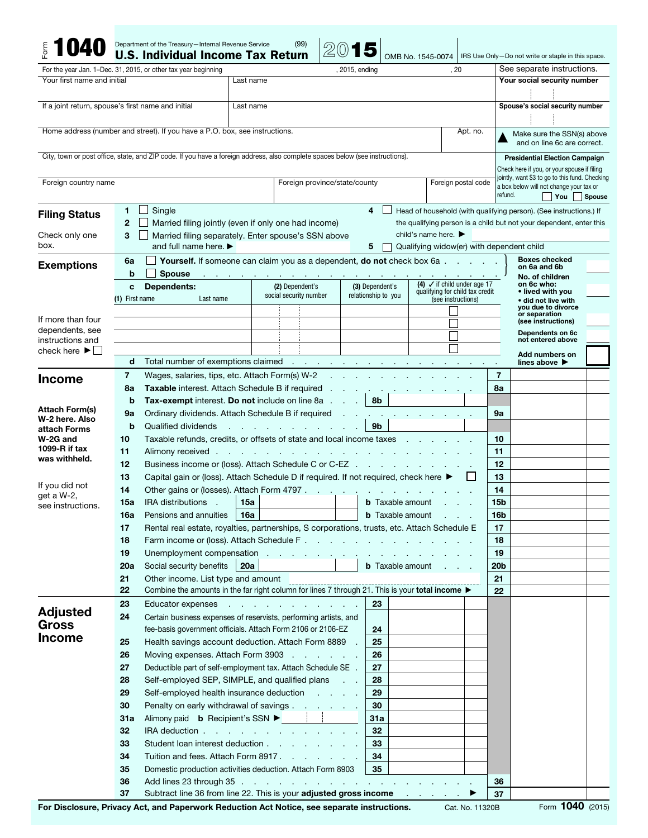|                                                    |                             | Department of the Treasury-Internal Revenue Service<br><b>U.S. Individual Income Tax Return</b>                                                                                                                               |                                          | (99)                                                                |                                           |                          |                                                           | OMB No. 1545-0074                                     |                     |                       | IRS Use Only-Do not write or staple in this space.                                        |               |
|----------------------------------------------------|-----------------------------|-------------------------------------------------------------------------------------------------------------------------------------------------------------------------------------------------------------------------------|------------------------------------------|---------------------------------------------------------------------|-------------------------------------------|--------------------------|-----------------------------------------------------------|-------------------------------------------------------|---------------------|-----------------------|-------------------------------------------------------------------------------------------|---------------|
|                                                    |                             | For the year Jan. 1–Dec. 31, 2015, or other tax year beginning                                                                                                                                                                |                                          |                                                                     |                                           | , 2015, ending           |                                                           |                                                       | , 20                |                       | See separate instructions.                                                                |               |
| Your first name and initial                        |                             |                                                                                                                                                                                                                               | Last name                                |                                                                     |                                           |                          |                                                           |                                                       |                     |                       | Your social security number                                                               |               |
|                                                    |                             |                                                                                                                                                                                                                               |                                          |                                                                     |                                           |                          |                                                           |                                                       |                     |                       |                                                                                           |               |
| If a joint return, spouse's first name and initial |                             |                                                                                                                                                                                                                               | Last name                                |                                                                     |                                           |                          |                                                           |                                                       |                     |                       | Spouse's social security number                                                           |               |
|                                                    |                             |                                                                                                                                                                                                                               |                                          |                                                                     |                                           |                          |                                                           |                                                       |                     |                       |                                                                                           |               |
|                                                    |                             | Home address (number and street). If you have a P.O. box, see instructions.                                                                                                                                                   |                                          |                                                                     |                                           |                          |                                                           |                                                       | Apt. no.            |                       | Make sure the SSN(s) above                                                                |               |
|                                                    |                             |                                                                                                                                                                                                                               |                                          |                                                                     |                                           |                          |                                                           |                                                       |                     |                       | and on line 6c are correct.                                                               |               |
|                                                    |                             | City, town or post office, state, and ZIP code. If you have a foreign address, also complete spaces below (see instructions).                                                                                                 |                                          |                                                                     |                                           |                          |                                                           |                                                       |                     |                       | <b>Presidential Election Campaign</b>                                                     |               |
|                                                    |                             |                                                                                                                                                                                                                               |                                          |                                                                     |                                           |                          |                                                           |                                                       |                     |                       | Check here if you, or your spouse if filing                                               |               |
| Foreign country name                               |                             |                                                                                                                                                                                                                               |                                          |                                                                     | Foreign province/state/county             |                          |                                                           |                                                       | Foreign postal code |                       | jointly, want \$3 to go to this fund. Checking<br>a box below will not change your tax or |               |
|                                                    |                             |                                                                                                                                                                                                                               |                                          |                                                                     |                                           |                          |                                                           |                                                       |                     | refund.               | $\top$ You                                                                                | <b>Spouse</b> |
|                                                    | 1.                          | Single                                                                                                                                                                                                                        |                                          |                                                                     |                                           |                          | 4                                                         |                                                       |                     |                       | Head of household (with qualifying person). (See instructions.) If                        |               |
| <b>Filing Status</b>                               | $\mathbf{2}$                | Married filing jointly (even if only one had income)                                                                                                                                                                          |                                          | the qualifying person is a child but not your dependent, enter this |                                           |                          |                                                           |                                                       |                     |                       |                                                                                           |               |
| Check only one                                     | 3                           | Married filing separately. Enter spouse's SSN above                                                                                                                                                                           | child's name here. $\blacktriangleright$ |                                                                     |                                           |                          |                                                           |                                                       |                     |                       |                                                                                           |               |
| box.                                               |                             | and full name here. $\blacktriangleright$                                                                                                                                                                                     |                                          |                                                                     | Qualifying widow(er) with dependent child |                          |                                                           |                                                       |                     |                       |                                                                                           |               |
|                                                    | 6a                          | Yourself. If someone can claim you as a dependent, do not check box 6a                                                                                                                                                        |                                          |                                                                     | <b>Boxes checked</b>                      |                          |                                                           |                                                       |                     |                       |                                                                                           |               |
| <b>Exemptions</b>                                  | b                           | <b>Spouse</b>                                                                                                                                                                                                                 |                                          | and a straightful contract and a straight                           |                                           |                          |                                                           |                                                       |                     |                       | on 6a and 6b<br>No. of children                                                           |               |
|                                                    | C                           | Dependents:                                                                                                                                                                                                                   |                                          | (2) Dependent's                                                     |                                           |                          | (4) $\checkmark$ if child under age 17<br>(3) Dependent's |                                                       |                     |                       | on 6c who:                                                                                |               |
|                                                    | Last name<br>(1) First name |                                                                                                                                                                                                                               | social security number                   |                                                                     |                                           | relationship to you      |                                                           | qualifying for child tax credit<br>(see instructions) |                     |                       | • lived with you<br>• did not live with                                                   |               |
|                                                    |                             |                                                                                                                                                                                                                               |                                          |                                                                     |                                           |                          |                                                           |                                                       |                     |                       | you due to divorce<br>or separation                                                       |               |
| If more than four                                  |                             |                                                                                                                                                                                                                               |                                          |                                                                     |                                           |                          |                                                           |                                                       |                     |                       | (see instructions)                                                                        |               |
| dependents, see<br>instructions and                |                             |                                                                                                                                                                                                                               |                                          |                                                                     |                                           |                          |                                                           |                                                       |                     |                       | Dependents on 6c<br>not entered above                                                     |               |
| check here $\blacktriangleright$                   |                             |                                                                                                                                                                                                                               |                                          |                                                                     |                                           |                          |                                                           |                                                       |                     |                       | Add numbers on                                                                            |               |
|                                                    | d                           | Total number of exemptions claimed example in the contract of the contract of the contract of the contract of the contract of the contract of the contract of the contract of the contract of the contract of the contract of |                                          |                                                                     |                                           |                          |                                                           |                                                       |                     |                       | lines above $\blacktriangleright$                                                         |               |
| <b>Income</b>                                      | 7                           | Wages, salaries, tips, etc. Attach Form(s) W-2                                                                                                                                                                                |                                          |                                                                     |                                           | <b>Contract Contract</b> |                                                           |                                                       |                     | $\overline{7}$        |                                                                                           |               |
|                                                    | 8a                          | Taxable interest. Attach Schedule B if required                                                                                                                                                                               |                                          |                                                                     |                                           |                          |                                                           |                                                       |                     | 8a                    |                                                                                           |               |
|                                                    | b                           | <b>Tax-exempt</b> interest. Do not include on line 8a                                                                                                                                                                         |                                          |                                                                     |                                           | $\sim 10$                | 8b                                                        |                                                       |                     |                       |                                                                                           |               |
| <b>Attach Form(s)</b><br>W-2 here, Also            | 9a                          | Ordinary dividends. Attach Schedule B if required                                                                                                                                                                             |                                          | 9a                                                                  |                                           |                          |                                                           |                                                       |                     |                       |                                                                                           |               |
| attach Forms                                       | b                           | 9 <sub>b</sub><br>Qualified dividends<br>the control of the control of                                                                                                                                                        |                                          |                                                                     |                                           |                          |                                                           |                                                       |                     |                       |                                                                                           |               |
| W-2G and                                           | 10                          | Taxable refunds, credits, or offsets of state and local income taxes                                                                                                                                                          |                                          |                                                                     |                                           |                          |                                                           |                                                       |                     | 10                    |                                                                                           |               |
| 1099-R if tax<br>was withheld.                     | 11                          | Alimony received .                                                                                                                                                                                                            |                                          | the contract of the contract of the contract of the contract of     |                                           |                          |                                                           |                                                       |                     | 11                    |                                                                                           |               |
|                                                    | 12                          | Business income or (loss). Attach Schedule C or C-EZ                                                                                                                                                                          |                                          | 12                                                                  |                                           |                          |                                                           |                                                       |                     |                       |                                                                                           |               |
| If you did not                                     | 13                          | Capital gain or (loss). Attach Schedule D if required. If not required, check here ▶                                                                                                                                          |                                          |                                                                     |                                           |                          |                                                           |                                                       |                     | 13                    |                                                                                           |               |
| get a W-2,                                         | 14                          | Other gains or (losses). Attach Form 4797                                                                                                                                                                                     |                                          |                                                                     |                                           |                          |                                                           |                                                       |                     | 14                    |                                                                                           |               |
| see instructions.                                  | 15a                         | <b>IRA distributions</b><br>n.                                                                                                                                                                                                | 15a                                      |                                                                     |                                           |                          | <b>b</b> Taxable amount                                   |                                                       |                     | 15b                   |                                                                                           |               |
|                                                    | 16a                         | Pensions and annuities                                                                                                                                                                                                        | 16а                                      |                                                                     |                                           |                          | <b>b</b> Taxable amount                                   |                                                       |                     | 16b                   |                                                                                           |               |
|                                                    | 17                          | Rental real estate, royalties, partnerships, S corporations, trusts, etc. Attach Schedule E                                                                                                                                   |                                          |                                                                     |                                           |                          |                                                           |                                                       |                     | 17                    |                                                                                           |               |
|                                                    | 18<br>19                    |                                                                                                                                                                                                                               |                                          |                                                                     |                                           |                          |                                                           |                                                       |                     | 18                    |                                                                                           |               |
|                                                    | 20a                         | Social security benefits                                                                                                                                                                                                      | 20a                                      |                                                                     |                                           |                          |                                                           | <b>b</b> Taxable amount                               |                     | 19<br>20 <sub>b</sub> |                                                                                           |               |
|                                                    | 21                          | Other income. List type and amount                                                                                                                                                                                            |                                          |                                                                     |                                           |                          |                                                           |                                                       |                     | 21                    |                                                                                           |               |
|                                                    | 22                          | Uther income. List type and amount<br>Combine the amounts in the far right column for lines 7 through 21. This is your total income                                                                                           |                                          |                                                                     |                                           |                          |                                                           |                                                       |                     | 22                    |                                                                                           |               |
|                                                    | 23                          | Educator expenses                                                                                                                                                                                                             |                                          |                                                                     |                                           |                          | 23                                                        |                                                       |                     |                       |                                                                                           |               |
| <b>Adjusted</b>                                    | 24                          | Certain business expenses of reservists, performing artists, and                                                                                                                                                              |                                          |                                                                     |                                           |                          |                                                           |                                                       |                     |                       |                                                                                           |               |
| <b>Gross</b>                                       |                             | fee-basis government officials. Attach Form 2106 or 2106-EZ                                                                                                                                                                   |                                          |                                                                     |                                           |                          | 24                                                        |                                                       |                     |                       |                                                                                           |               |
| <b>Income</b>                                      | 25                          | Health savings account deduction. Attach Form 8889                                                                                                                                                                            |                                          |                                                                     |                                           |                          | 25                                                        |                                                       |                     |                       |                                                                                           |               |
|                                                    | 26                          | Moving expenses. Attach Form 3903                                                                                                                                                                                             |                                          |                                                                     |                                           |                          | 26                                                        |                                                       |                     |                       |                                                                                           |               |
|                                                    | 27                          | Deductible part of self-employment tax. Attach Schedule SE .                                                                                                                                                                  |                                          |                                                                     |                                           |                          | 27                                                        |                                                       |                     |                       |                                                                                           |               |
|                                                    | 28                          | Self-employed SEP, SIMPLE, and qualified plans                                                                                                                                                                                |                                          |                                                                     |                                           |                          | 28                                                        |                                                       |                     |                       |                                                                                           |               |
|                                                    | 29                          | Self-employed health insurance deduction                                                                                                                                                                                      |                                          |                                                                     |                                           |                          | 29                                                        |                                                       |                     |                       |                                                                                           |               |
|                                                    | 30                          | Penalty on early withdrawal of savings                                                                                                                                                                                        |                                          |                                                                     |                                           |                          | 30                                                        |                                                       |                     |                       |                                                                                           |               |
|                                                    | 31a                         | Alimony paid <b>b</b> Recipient's SSN ▶ │ │                                                                                                                                                                                   |                                          |                                                                     |                                           |                          | 31a                                                       |                                                       |                     |                       |                                                                                           |               |
|                                                    | 32                          | IRA deduction $\cdots$ $\cdots$ $\cdots$ $\cdots$ $\cdots$ $\cdots$                                                                                                                                                           |                                          |                                                                     |                                           |                          | 32                                                        |                                                       |                     |                       |                                                                                           |               |
|                                                    | 33                          | Student loan interest deduction                                                                                                                                                                                               |                                          |                                                                     |                                           |                          | 33                                                        |                                                       |                     |                       |                                                                                           |               |
|                                                    | 34                          | Tuition and fees. Attach Form 8917.                                                                                                                                                                                           |                                          |                                                                     |                                           |                          | 34                                                        |                                                       |                     |                       |                                                                                           |               |
|                                                    | 35                          | Domestic production activities deduction. Attach Form 8903                                                                                                                                                                    |                                          |                                                                     |                                           |                          | 35                                                        |                                                       |                     |                       |                                                                                           |               |
|                                                    | 36                          | Add lines 23 through 35 .                                                                                                                                                                                                     |                                          | the contract of the contract of the contract of the con-            |                                           |                          |                                                           |                                                       |                     | 36                    |                                                                                           |               |
|                                                    | 37                          | Subtract line 36 from line 22. This is your adjusted gross income                                                                                                                                                             |                                          |                                                                     |                                           |                          |                                                           | the contract of the con-                              |                     | 37                    |                                                                                           |               |

For Disclosure, Privacy Act, and Paperwork Reduction Act Notice, see separate instructions. Cat. No. 11320B Form 1040 (2015)